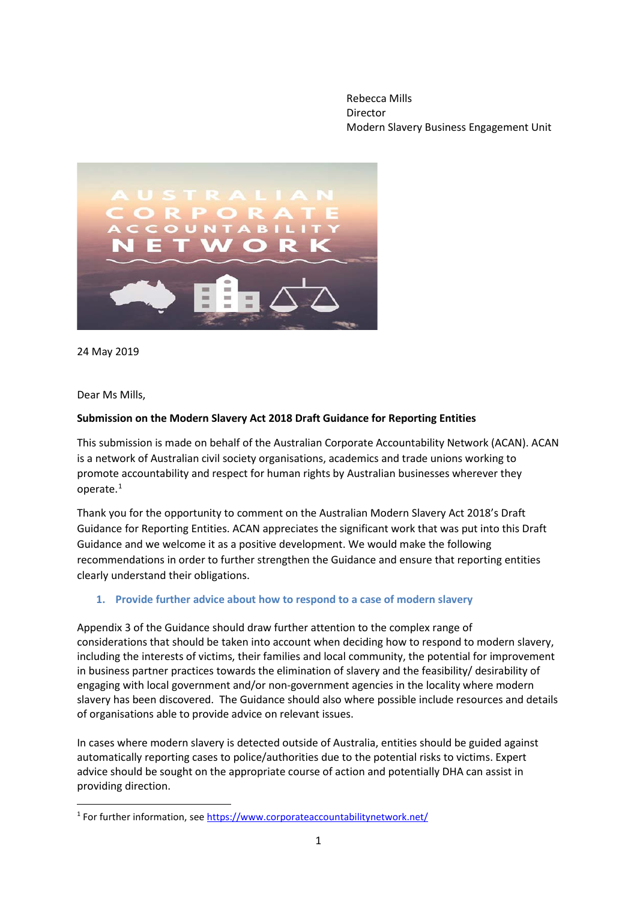Rebecca Mills Director Modern Slavery Business Engagement Unit



24 May 2019

Dear Ms Mills,

### **Submission on the Modern Slavery Act 2018 Draft Guidance for Reporting Entities**

This submission is made on behalf of the Australian Corporate Accountability Network (ACAN). ACAN is a network of Australian civil society organisations, academics and trade unions working to promote accountability and respect for human rights by Australian businesses wherever they operate.[1](#page-0-0)

Thank you for the opportunity to comment on the Australian Modern Slavery Act 2018's Draft Guidance for Reporting Entities. ACAN appreciates the significant work that was put into this Draft Guidance and we welcome it as a positive development. We would make the following recommendations in order to further strengthen the Guidance and ensure that reporting entities clearly understand their obligations.

### **1. Provide further advice about how to respond to a case of modern slavery**

Appendix 3 of the Guidance should draw further attention to the complex range of considerations that should be taken into account when deciding how to respond to modern slavery, including the interests of victims, their families and local community, the potential for improvement in business partner practices towards the elimination of slavery and the feasibility/ desirability of engaging with local government and/or non-government agencies in the locality where modern slavery has been discovered. The Guidance should also where possible include resources and details of organisations able to provide advice on relevant issues.

In cases where modern slavery is detected outside of Australia, entities should be guided against automatically reporting cases to police/authorities due to the potential risks to victims. Expert advice should be sought on the appropriate course of action and potentially DHA can assist in providing direction.

<span id="page-0-0"></span> <sup>1</sup> For further information, se[e https://www.corporateaccountabilitynetwork.net/](https://www.corporateaccountabilitynetwork.net/)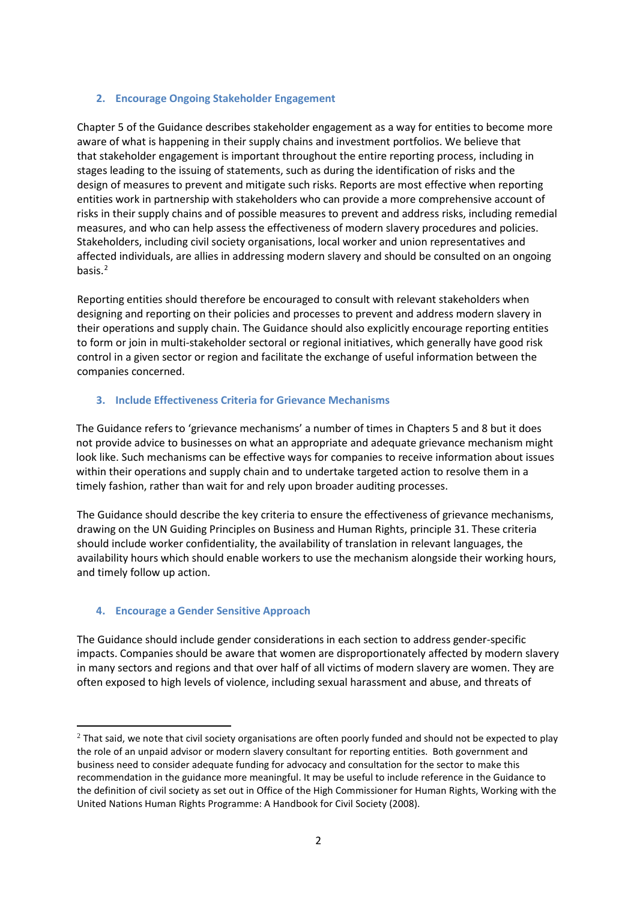### **2. Encourage Ongoing Stakeholder Engagement**

Chapter 5 of the Guidance describes stakeholder engagement as a way for entities to become more aware of what is happening in their supply chains and investment portfolios. We believe that that stakeholder engagement is important throughout the entire reporting process, including in stages leading to the issuing of statements, such as during the identification of risks and the design of measures to prevent and mitigate such risks. Reports are most effective when reporting entities work in partnership with stakeholders who can provide a more comprehensive account of risks in their supply chains and of possible measures to prevent and address risks, including remedial measures, and who can help assess the effectiveness of modern slavery procedures and policies. Stakeholders, including civil society organisations, local worker and union representatives and affected individuals, are allies in addressing modern slavery and should be consulted on an ongoing basis.[2](#page-1-0)

Reporting entities should therefore be encouraged to consult with relevant stakeholders when designing and reporting on their policies and processes to prevent and address modern slavery in their operations and supply chain. The Guidance should also explicitly encourage reporting entities to form or join in multi-stakeholder sectoral or regional initiatives, which generally have good risk control in a given sector or region and facilitate the exchange of useful information between the companies concerned.

#### **3. Include Effectiveness Criteria for Grievance Mechanisms**

The Guidance refers to 'grievance mechanisms' a number of times in Chapters 5 and 8 but it does not provide advice to businesses on what an appropriate and adequate grievance mechanism might look like. Such mechanisms can be effective ways for companies to receive information about issues within their operations and supply chain and to undertake targeted action to resolve them in a timely fashion, rather than wait for and rely upon broader auditing processes.

The Guidance should describe the key criteria to ensure the effectiveness of grievance mechanisms, drawing on the UN Guiding Principles on Business and Human Rights, principle 31. These criteria should include worker confidentiality, the availability of translation in relevant languages, the availability hours which should enable workers to use the mechanism alongside their working hours, and timely follow up action.

### **4. Encourage a Gender Sensitive Approach**

<u>.</u>

The Guidance should include gender considerations in each section to address gender-specific impacts. Companies should be aware that women are disproportionately affected by modern slavery in many sectors and regions and that over half of all victims of modern slavery are women. They are often exposed to high levels of violence, including sexual harassment and abuse, and threats of

<span id="page-1-0"></span> $2$  That said, we note that civil society organisations are often poorly funded and should not be expected to play the role of an unpaid advisor or modern slavery consultant for reporting entities. Both government and business need to consider adequate funding for advocacy and consultation for the sector to make this recommendation in the guidance more meaningful. It may be useful to include reference in the Guidance to the definition of civil society as set out in Office of the High Commissioner for Human Rights, Working with the United Nations Human Rights Programme: A Handbook for Civil Society (2008).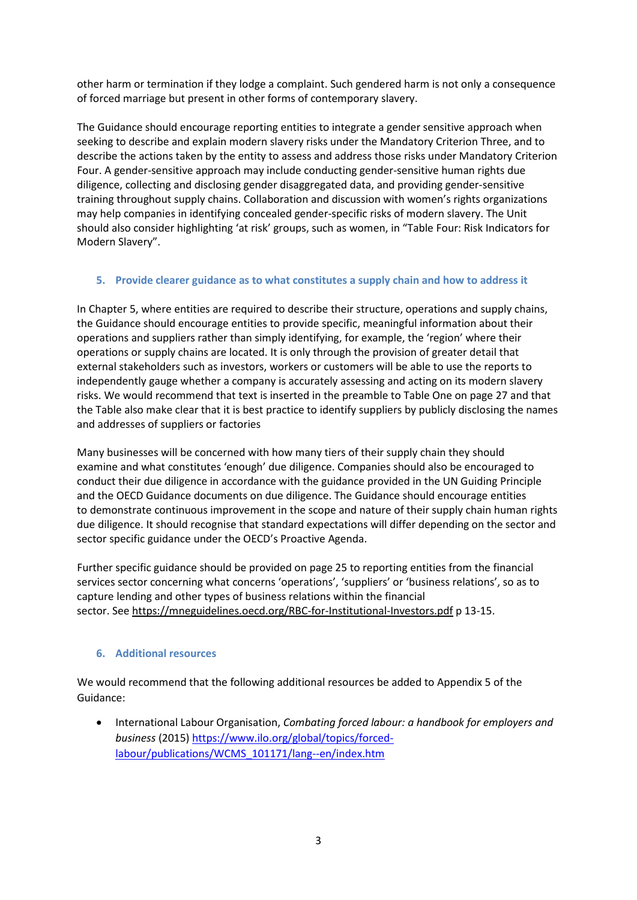other harm or termination if they lodge a complaint. Such gendered harm is not only a consequence of forced marriage but present in other forms of contemporary slavery.

The Guidance should encourage reporting entities to integrate a gender sensitive approach when seeking to describe and explain modern slavery risks under the Mandatory Criterion Three, and to describe the actions taken by the entity to assess and address those risks under Mandatory Criterion Four. A gender-sensitive approach may include conducting gender-sensitive human rights due diligence, collecting and disclosing gender disaggregated data, and providing gender-sensitive training throughout supply chains. Collaboration and discussion with women's rights organizations may help companies in identifying concealed gender-specific risks of modern slavery. The Unit should also consider highlighting 'at risk' groups, such as women, in "Table Four: Risk Indicators for Modern Slavery".

# **5. Provide clearer guidance as to what constitutes a supply chain and how to address it**

In Chapter 5, where entities are required to describe their structure, operations and supply chains, the Guidance should encourage entities to provide specific, meaningful information about their operations and suppliers rather than simply identifying, for example, the 'region' where their operations or supply chains are located. It is only through the provision of greater detail that external stakeholders such as investors, workers or customers will be able to use the reports to independently gauge whether a company is accurately assessing and acting on its modern slavery risks. We would recommend that text is inserted in the preamble to Table One on page 27 and that the Table also make clear that it is best practice to identify suppliers by publicly disclosing the names and addresses of suppliers or factories

Many businesses will be concerned with how many tiers of their supply chain they should examine and what constitutes 'enough' due diligence. Companies should also be encouraged to conduct their due diligence in accordance with the guidance provided in the UN Guiding Principle and the OECD Guidance documents on due diligence. The Guidance should encourage entities to demonstrate continuous improvement in the scope and nature of their supply chain human rights due diligence. It should recognise that standard expectations will differ depending on the sector and sector specific guidance under the OECD's Proactive Agenda.

Further specific guidance should be provided on page 25 to reporting entities from the financial services sector concerning what concerns 'operations', 'suppliers' or 'business relations', so as to capture lending and other types of business relations within the financial sector. See https://mneguidelines.oecd.org/RBC-for-Institutional-Investors.pdf p 13-15.

# **6. Additional resources**

We would recommend that the following additional resources be added to Appendix 5 of the Guidance:

• International Labour Organisation, *Combating forced labour: a handbook for employers and business* (2015[\) https://www.ilo.org/global/topics/forced](https://www.ilo.org/global/topics/forced-labour/publications/WCMS_101171/lang--en/index.htm)[labour/publications/WCMS\\_101171/lang--en/index.htm](https://www.ilo.org/global/topics/forced-labour/publications/WCMS_101171/lang--en/index.htm)